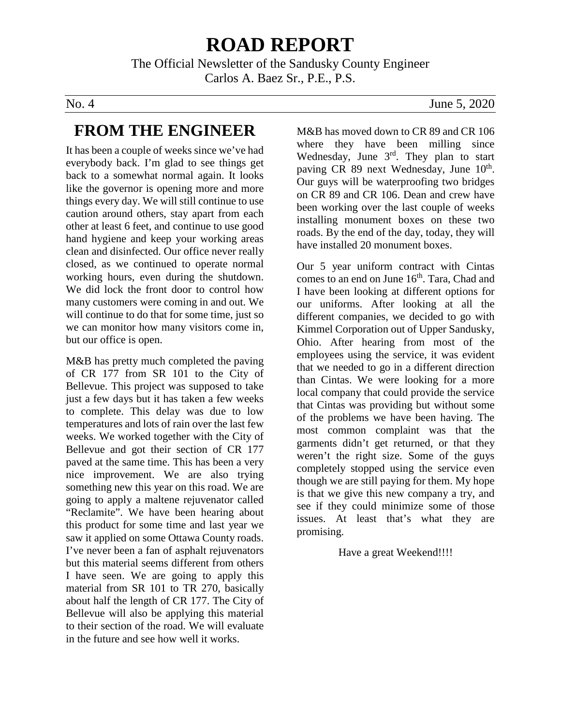# **ROAD REPORT**

The Official Newsletter of the Sandusky County Engineer Carlos A. Baez Sr., P.E., P.S.

### **FROM THE ENGINEER**

It has been a couple of weeks since we've had everybody back. I'm glad to see things get back to a somewhat normal again. It looks like the governor is opening more and more things every day. We will still continue to use caution around others, stay apart from each other at least 6 feet, and continue to use good hand hygiene and keep your working areas clean and disinfected. Our office never really closed, as we continued to operate normal working hours, even during the shutdown. We did lock the front door to control how many customers were coming in and out. We will continue to do that for some time, just so we can monitor how many visitors come in, but our office is open.

M&B has pretty much completed the paving of CR 177 from SR 101 to the City of Bellevue. This project was supposed to take just a few days but it has taken a few weeks to complete. This delay was due to low temperatures and lots of rain over the last few weeks. We worked together with the City of Bellevue and got their section of CR 177 paved at the same time. This has been a very nice improvement. We are also trying something new this year on this road. We are going to apply a maltene rejuvenator called "Reclamite". We have been hearing about this product for some time and last year we saw it applied on some Ottawa County roads. I've never been a fan of asphalt rejuvenators but this material seems different from others I have seen. We are going to apply this material from SR 101 to TR 270, basically about half the length of CR 177. The City of Bellevue will also be applying this material to their section of the road. We will evaluate in the future and see how well it works.

#### No. 4 June 5, 2020

M&B has moved down to CR 89 and CR 106 where they have been milling since Wednesday, June  $3<sup>rd</sup>$ . They plan to start paving CR 89 next Wednesday, June 10<sup>th</sup>. Our guys will be waterproofing two bridges on CR 89 and CR 106. Dean and crew have been working over the last couple of weeks installing monument boxes on these two roads. By the end of the day, today, they will have installed 20 monument boxes.

Our 5 year uniform contract with Cintas comes to an end on June 16<sup>th</sup>. Tara, Chad and I have been looking at different options for our uniforms. After looking at all the different companies, we decided to go with Kimmel Corporation out of Upper Sandusky, Ohio. After hearing from most of the employees using the service, it was evident that we needed to go in a different direction than Cintas. We were looking for a more local company that could provide the service that Cintas was providing but without some of the problems we have been having. The most common complaint was that the garments didn't get returned, or that they weren't the right size. Some of the guys completely stopped using the service even though we are still paying for them. My hope is that we give this new company a try, and see if they could minimize some of those issues. At least that's what they are promising.

#### Have a great Weekend!!!!